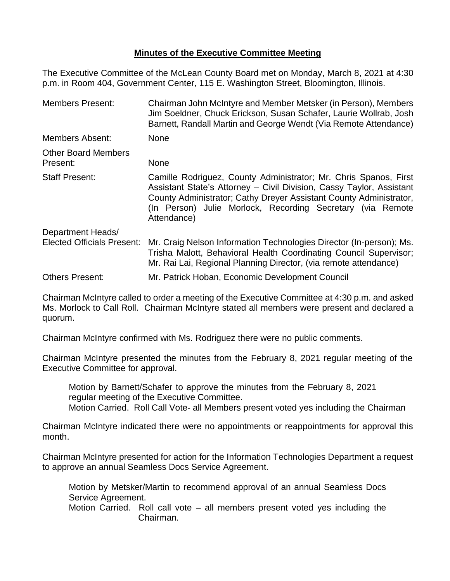## **Minutes of the Executive Committee Meeting**

The Executive Committee of the McLean County Board met on Monday, March 8, 2021 at 4:30 p.m. in Room 404, Government Center, 115 E. Washington Street, Bloomington, Illinois.

| <b>Members Present:</b>                                | Chairman John McIntyre and Member Metsker (in Person), Members<br>Jim Soeldner, Chuck Erickson, Susan Schafer, Laurie Wollrab, Josh<br>Barnett, Randall Martin and George Wendt (Via Remote Attendance)                                                                                     |
|--------------------------------------------------------|---------------------------------------------------------------------------------------------------------------------------------------------------------------------------------------------------------------------------------------------------------------------------------------------|
| <b>Members Absent:</b>                                 | <b>None</b>                                                                                                                                                                                                                                                                                 |
| <b>Other Board Members</b><br>Present:                 | <b>None</b>                                                                                                                                                                                                                                                                                 |
| <b>Staff Present:</b>                                  | Camille Rodriguez, County Administrator; Mr. Chris Spanos, First<br>Assistant State's Attorney - Civil Division, Cassy Taylor, Assistant<br>County Administrator; Cathy Dreyer Assistant County Administrator,<br>(In Person) Julie Morlock, Recording Secretary (via Remote<br>Attendance) |
| Department Heads/<br><b>Elected Officials Present:</b> | Mr. Craig Nelson Information Technologies Director (In-person); Ms.<br>Trisha Malott, Behavioral Health Coordinating Council Supervisor;<br>Mr. Rai Lai, Regional Planning Director, (via remote attendance)                                                                                |
| <b>Others Present:</b>                                 | Mr. Patrick Hoban, Economic Development Council                                                                                                                                                                                                                                             |

Chairman McIntyre called to order a meeting of the Executive Committee at 4:30 p.m. and asked Ms. Morlock to Call Roll. Chairman McIntyre stated all members were present and declared a quorum.

Chairman McIntyre confirmed with Ms. Rodriguez there were no public comments.

Chairman McIntyre presented the minutes from the February 8, 2021 regular meeting of the Executive Committee for approval.

Motion by Barnett/Schafer to approve the minutes from the February 8, 2021 regular meeting of the Executive Committee. Motion Carried. Roll Call Vote- all Members present voted yes including the Chairman

Chairman McIntyre indicated there were no appointments or reappointments for approval this month.

Chairman McIntyre presented for action for the Information Technologies Department a request to approve an annual Seamless Docs Service Agreement.

Motion by Metsker/Martin to recommend approval of an annual Seamless Docs Service Agreement.

Motion Carried. Roll call vote – all members present voted yes including the Chairman.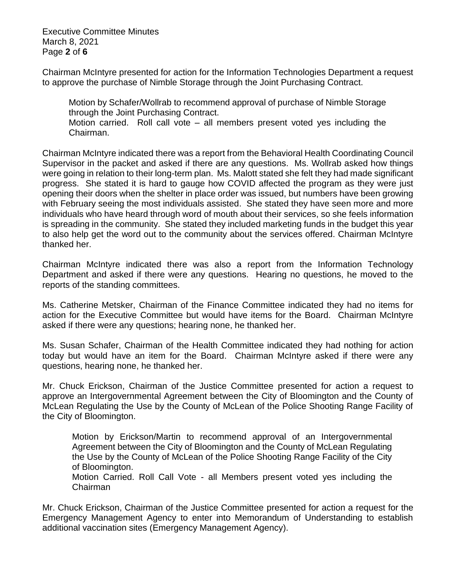Executive Committee Minutes March 8, 2021 Page **2** of **6**

Chairman McIntyre presented for action for the Information Technologies Department a request to approve the purchase of Nimble Storage through the Joint Purchasing Contract.

Motion by Schafer/Wollrab to recommend approval of purchase of Nimble Storage through the Joint Purchasing Contract. Motion carried. Roll call vote – all members present voted yes including the Chairman.

Chairman McIntyre indicated there was a report from the Behavioral Health Coordinating Council Supervisor in the packet and asked if there are any questions. Ms. Wollrab asked how things were going in relation to their long-term plan. Ms. Malott stated she felt they had made significant progress. She stated it is hard to gauge how COVID affected the program as they were just opening their doors when the shelter in place order was issued, but numbers have been growing with February seeing the most individuals assisted. She stated they have seen more and more individuals who have heard through word of mouth about their services, so she feels information is spreading in the community. She stated they included marketing funds in the budget this year to also help get the word out to the community about the services offered. Chairman McIntyre thanked her.

Chairman McIntyre indicated there was also a report from the Information Technology Department and asked if there were any questions. Hearing no questions, he moved to the reports of the standing committees.

Ms. Catherine Metsker, Chairman of the Finance Committee indicated they had no items for action for the Executive Committee but would have items for the Board. Chairman McIntyre asked if there were any questions; hearing none, he thanked her.

Ms. Susan Schafer, Chairman of the Health Committee indicated they had nothing for action today but would have an item for the Board. Chairman McIntyre asked if there were any questions, hearing none, he thanked her.

Mr. Chuck Erickson, Chairman of the Justice Committee presented for action a request to approve an Intergovernmental Agreement between the City of Bloomington and the County of McLean Regulating the Use by the County of McLean of the Police Shooting Range Facility of the City of Bloomington.

Motion by Erickson/Martin to recommend approval of an Intergovernmental Agreement between the City of Bloomington and the County of McLean Regulating the Use by the County of McLean of the Police Shooting Range Facility of the City of Bloomington.

Motion Carried. Roll Call Vote - all Members present voted yes including the Chairman

Mr. Chuck Erickson, Chairman of the Justice Committee presented for action a request for the Emergency Management Agency to enter into Memorandum of Understanding to establish additional vaccination sites (Emergency Management Agency).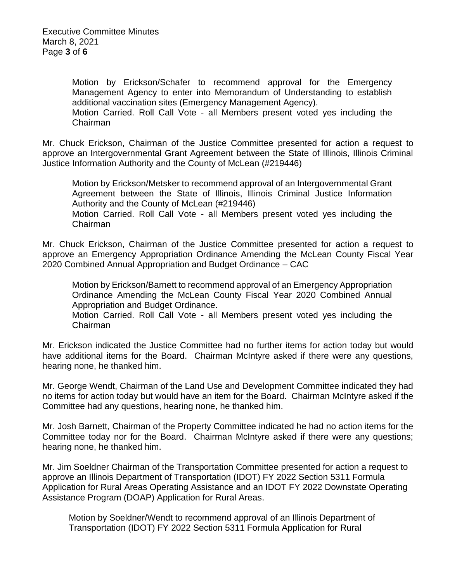Motion by Erickson/Schafer to recommend approval for the Emergency Management Agency to enter into Memorandum of Understanding to establish additional vaccination sites (Emergency Management Agency).

Motion Carried. Roll Call Vote - all Members present voted yes including the Chairman

Mr. Chuck Erickson, Chairman of the Justice Committee presented for action a request to approve an Intergovernmental Grant Agreement between the State of Illinois, Illinois Criminal Justice Information Authority and the County of McLean (#219446)

Motion by Erickson/Metsker to recommend approval of an Intergovernmental Grant Agreement between the State of Illinois, Illinois Criminal Justice Information Authority and the County of McLean (#219446) Motion Carried. Roll Call Vote - all Members present voted yes including the Chairman

Mr. Chuck Erickson, Chairman of the Justice Committee presented for action a request to approve an Emergency Appropriation Ordinance Amending the McLean County Fiscal Year 2020 Combined Annual Appropriation and Budget Ordinance – CAC

Motion by Erickson/Barnett to recommend approval of an Emergency Appropriation Ordinance Amending the McLean County Fiscal Year 2020 Combined Annual Appropriation and Budget Ordinance.

Motion Carried. Roll Call Vote - all Members present voted yes including the Chairman

Mr. Erickson indicated the Justice Committee had no further items for action today but would have additional items for the Board. Chairman McIntyre asked if there were any questions, hearing none, he thanked him.

Mr. George Wendt, Chairman of the Land Use and Development Committee indicated they had no items for action today but would have an item for the Board. Chairman McIntyre asked if the Committee had any questions, hearing none, he thanked him.

Mr. Josh Barnett, Chairman of the Property Committee indicated he had no action items for the Committee today nor for the Board. Chairman McIntyre asked if there were any questions; hearing none, he thanked him.

Mr. Jim Soeldner Chairman of the Transportation Committee presented for action a request to approve an Illinois Department of Transportation (IDOT) FY 2022 Section 5311 Formula Application for Rural Areas Operating Assistance and an IDOT FY 2022 Downstate Operating Assistance Program (DOAP) Application for Rural Areas.

Motion by Soeldner/Wendt to recommend approval of an Illinois Department of Transportation (IDOT) FY 2022 Section 5311 Formula Application for Rural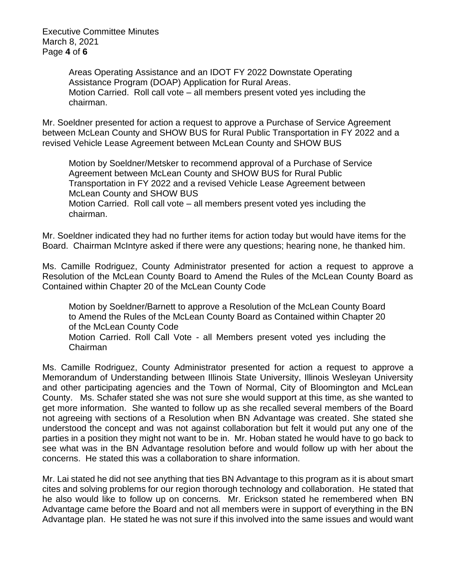Executive Committee Minutes March 8, 2021 Page **4** of **6**

> Areas Operating Assistance and an IDOT FY 2022 Downstate Operating Assistance Program (DOAP) Application for Rural Areas. Motion Carried. Roll call vote – all members present voted yes including the chairman.

Mr. Soeldner presented for action a request to approve a Purchase of Service Agreement between McLean County and SHOW BUS for Rural Public Transportation in FY 2022 and a revised Vehicle Lease Agreement between McLean County and SHOW BUS

Motion by Soeldner/Metsker to recommend approval of a Purchase of Service Agreement between McLean County and SHOW BUS for Rural Public Transportation in FY 2022 and a revised Vehicle Lease Agreement between McLean County and SHOW BUS

Motion Carried. Roll call vote – all members present voted yes including the chairman.

Mr. Soeldner indicated they had no further items for action today but would have items for the Board. Chairman McIntyre asked if there were any questions; hearing none, he thanked him.

Ms. Camille Rodriguez, County Administrator presented for action a request to approve a Resolution of the McLean County Board to Amend the Rules of the McLean County Board as Contained within Chapter 20 of the McLean County Code

Motion by Soeldner/Barnett to approve a Resolution of the McLean County Board to Amend the Rules of the McLean County Board as Contained within Chapter 20 of the McLean County Code Motion Carried. Roll Call Vote - all Members present voted yes including the Chairman

Ms. Camille Rodriguez, County Administrator presented for action a request to approve a Memorandum of Understanding between Illinois State University, Illinois Wesleyan University and other participating agencies and the Town of Normal, City of Bloomington and McLean County. Ms. Schafer stated she was not sure she would support at this time, as she wanted to get more information. She wanted to follow up as she recalled several members of the Board not agreeing with sections of a Resolution when BN Advantage was created. She stated she understood the concept and was not against collaboration but felt it would put any one of the parties in a position they might not want to be in. Mr. Hoban stated he would have to go back to see what was in the BN Advantage resolution before and would follow up with her about the concerns. He stated this was a collaboration to share information.

Mr. Lai stated he did not see anything that ties BN Advantage to this program as it is about smart cites and solving problems for our region thorough technology and collaboration. He stated that he also would like to follow up on concerns. Mr. Erickson stated he remembered when BN Advantage came before the Board and not all members were in support of everything in the BN Advantage plan. He stated he was not sure if this involved into the same issues and would want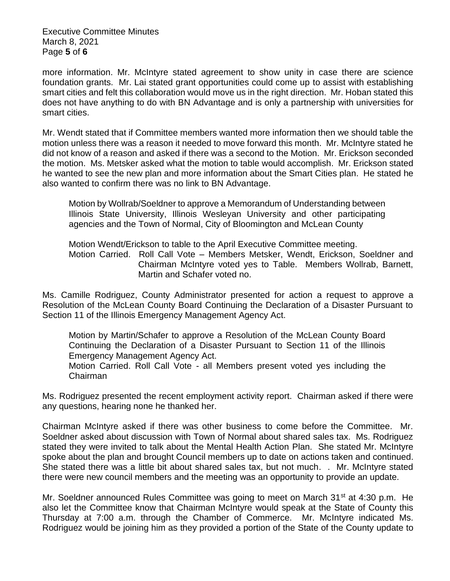Executive Committee Minutes March 8, 2021 Page **5** of **6**

more information. Mr. McIntyre stated agreement to show unity in case there are science foundation grants. Mr. Lai stated grant opportunities could come up to assist with establishing smart cities and felt this collaboration would move us in the right direction. Mr. Hoban stated this does not have anything to do with BN Advantage and is only a partnership with universities for smart cities.

Mr. Wendt stated that if Committee members wanted more information then we should table the motion unless there was a reason it needed to move forward this month. Mr. McIntyre stated he did not know of a reason and asked if there was a second to the Motion. Mr. Erickson seconded the motion. Ms. Metsker asked what the motion to table would accomplish. Mr. Erickson stated he wanted to see the new plan and more information about the Smart Cities plan. He stated he also wanted to confirm there was no link to BN Advantage.

Motion by Wollrab/Soeldner to approve a Memorandum of Understanding between Illinois State University, Illinois Wesleyan University and other participating agencies and the Town of Normal, City of Bloomington and McLean County

Motion Wendt/Erickson to table to the April Executive Committee meeting.

Motion Carried. Roll Call Vote – Members Metsker, Wendt, Erickson, Soeldner and Chairman McIntyre voted yes to Table. Members Wollrab, Barnett, Martin and Schafer voted no.

Ms. Camille Rodriguez, County Administrator presented for action a request to approve a Resolution of the McLean County Board Continuing the Declaration of a Disaster Pursuant to Section 11 of the Illinois Emergency Management Agency Act.

Motion by Martin/Schafer to approve a Resolution of the McLean County Board Continuing the Declaration of a Disaster Pursuant to Section 11 of the Illinois Emergency Management Agency Act. Motion Carried. Roll Call Vote - all Members present voted yes including the Chairman

Ms. Rodriguez presented the recent employment activity report. Chairman asked if there were any questions, hearing none he thanked her.

Chairman McIntyre asked if there was other business to come before the Committee. Mr. Soeldner asked about discussion with Town of Normal about shared sales tax. Ms. Rodriguez stated they were invited to talk about the Mental Health Action Plan. She stated Mr. McIntyre spoke about the plan and brought Council members up to date on actions taken and continued. She stated there was a little bit about shared sales tax, but not much. . Mr. McIntyre stated there were new council members and the meeting was an opportunity to provide an update.

Mr. Soeldner announced Rules Committee was going to meet on March  $31<sup>st</sup>$  at 4:30 p.m. He also let the Committee know that Chairman McIntyre would speak at the State of County this Thursday at 7:00 a.m. through the Chamber of Commerce. Mr. McIntyre indicated Ms. Rodriguez would be joining him as they provided a portion of the State of the County update to